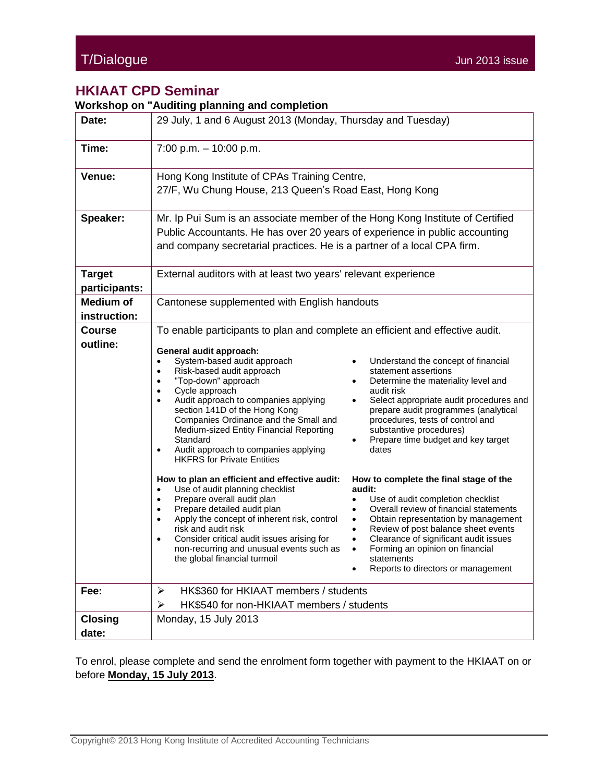## **HKIAAT CPD Seminar**

**Workshop on "Auditing planning and completion**

|                                  | workshop on Additing planning and completion                                                                                                                                                                                                                                                                                                                                                                                                                                                                                                                                                                                                                                                                                                                                                                                                                   |  |  |  |  |  |
|----------------------------------|----------------------------------------------------------------------------------------------------------------------------------------------------------------------------------------------------------------------------------------------------------------------------------------------------------------------------------------------------------------------------------------------------------------------------------------------------------------------------------------------------------------------------------------------------------------------------------------------------------------------------------------------------------------------------------------------------------------------------------------------------------------------------------------------------------------------------------------------------------------|--|--|--|--|--|
| Date:                            | 29 July, 1 and 6 August 2013 (Monday, Thursday and Tuesday)                                                                                                                                                                                                                                                                                                                                                                                                                                                                                                                                                                                                                                                                                                                                                                                                    |  |  |  |  |  |
| Time:                            | $7:00$ p.m. $-10:00$ p.m.                                                                                                                                                                                                                                                                                                                                                                                                                                                                                                                                                                                                                                                                                                                                                                                                                                      |  |  |  |  |  |
| Venue:                           | Hong Kong Institute of CPAs Training Centre,<br>27/F, Wu Chung House, 213 Queen's Road East, Hong Kong                                                                                                                                                                                                                                                                                                                                                                                                                                                                                                                                                                                                                                                                                                                                                         |  |  |  |  |  |
| Speaker:                         | Mr. Ip Pui Sum is an associate member of the Hong Kong Institute of Certified<br>Public Accountants. He has over 20 years of experience in public accounting<br>and company secretarial practices. He is a partner of a local CPA firm.                                                                                                                                                                                                                                                                                                                                                                                                                                                                                                                                                                                                                        |  |  |  |  |  |
| <b>Target</b><br>participants:   | External auditors with at least two years' relevant experience                                                                                                                                                                                                                                                                                                                                                                                                                                                                                                                                                                                                                                                                                                                                                                                                 |  |  |  |  |  |
| <b>Medium of</b><br>instruction: | Cantonese supplemented with English handouts                                                                                                                                                                                                                                                                                                                                                                                                                                                                                                                                                                                                                                                                                                                                                                                                                   |  |  |  |  |  |
| <b>Course</b><br>outline:        | To enable participants to plan and complete an efficient and effective audit.<br>General audit approach:<br>System-based audit approach<br>Understand the concept of financial<br>$\bullet$<br>Risk-based audit approach<br>statement assertions<br>$\bullet$<br>"Top-down" approach<br>Determine the materiality level and<br>$\bullet$<br>Cycle approach<br>audit risk<br>$\bullet$<br>Audit approach to companies applying<br>Select appropriate audit procedures and<br>$\bullet$<br>section 141D of the Hong Kong<br>prepare audit programmes (analytical<br>Companies Ordinance and the Small and<br>procedures, tests of control and<br>substantive procedures)<br>Medium-sized Entity Financial Reporting<br>Standard<br>Prepare time budget and key target<br>Audit approach to companies applying<br>dates<br>٠<br><b>HKFRS</b> for Private Entities |  |  |  |  |  |
|                                  | How to plan an efficient and effective audit:<br>How to complete the final stage of the<br>Use of audit planning checklist<br>audit:<br>$\bullet$<br>Prepare overall audit plan<br>Use of audit completion checklist<br>$\bullet$<br>Overall review of financial statements<br>Prepare detailed audit plan<br>٠<br>Apply the concept of inherent risk, control<br>Obtain representation by management<br>$\bullet$<br>$\bullet$<br>risk and audit risk<br>Review of post balance sheet events<br>Consider critical audit issues arising for<br>Clearance of significant audit issues<br>$\bullet$<br>non-recurring and unusual events such as<br>Forming an opinion on financial<br>the global financial turmoil<br>statements<br>Reports to directors or management                                                                                           |  |  |  |  |  |
| Fee:                             | HK\$360 for HKIAAT members / students<br>≻<br>HK\$540 for non-HKIAAT members / students<br>➤                                                                                                                                                                                                                                                                                                                                                                                                                                                                                                                                                                                                                                                                                                                                                                   |  |  |  |  |  |
| <b>Closing</b><br>date:          | Monday, 15 July 2013                                                                                                                                                                                                                                                                                                                                                                                                                                                                                                                                                                                                                                                                                                                                                                                                                                           |  |  |  |  |  |

To enrol, please complete and send the enrolment form together with payment to the HKIAAT on or before **Monday, 15 July 2013**.